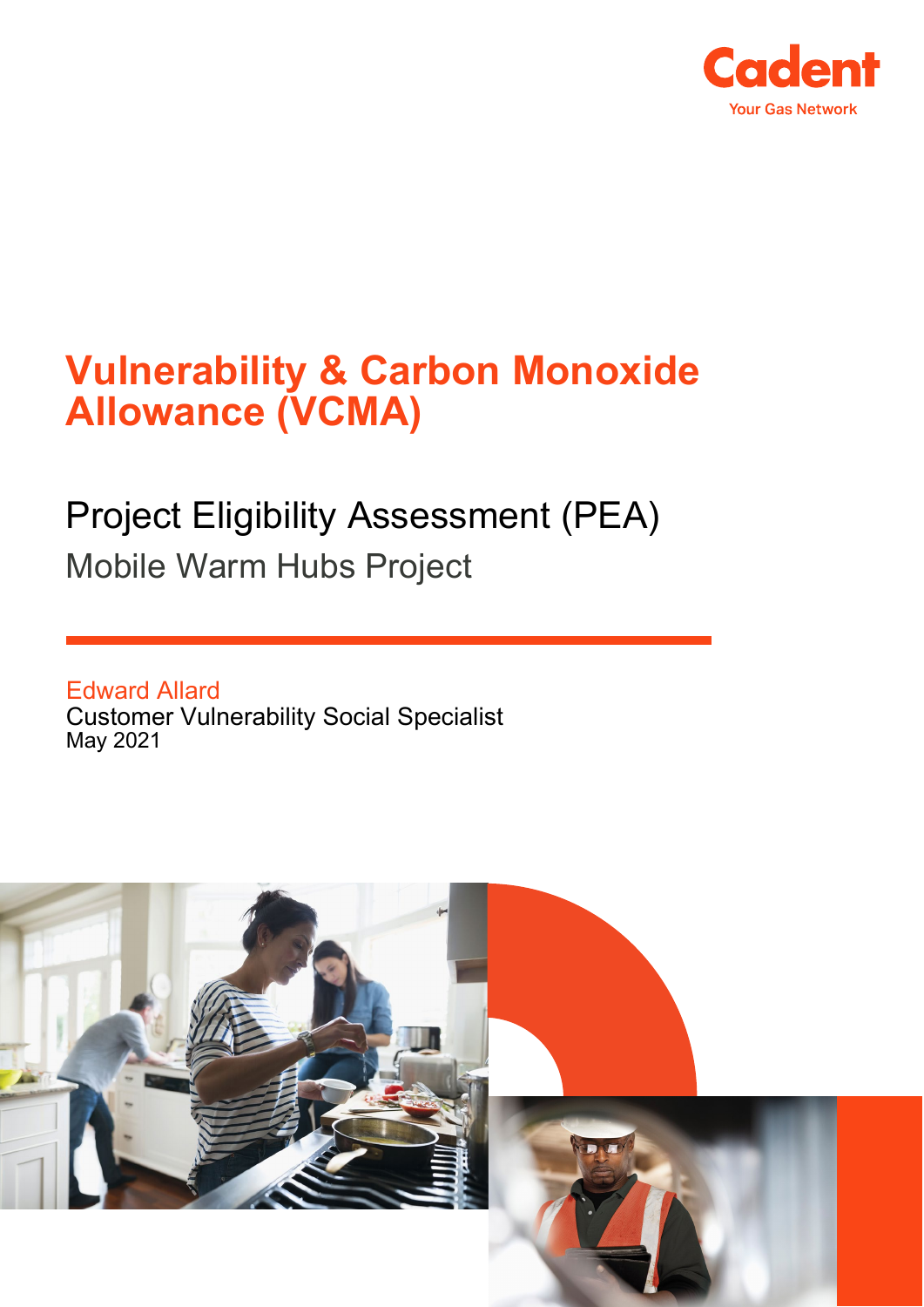

# **Vulnerability & Carbon Monoxide Allowance (VCMA)**

## Project Eligibility Assessment (PEA) Mobile Warm Hubs Project

Edward Allard Customer Vulnerability Social Specialist May 2021

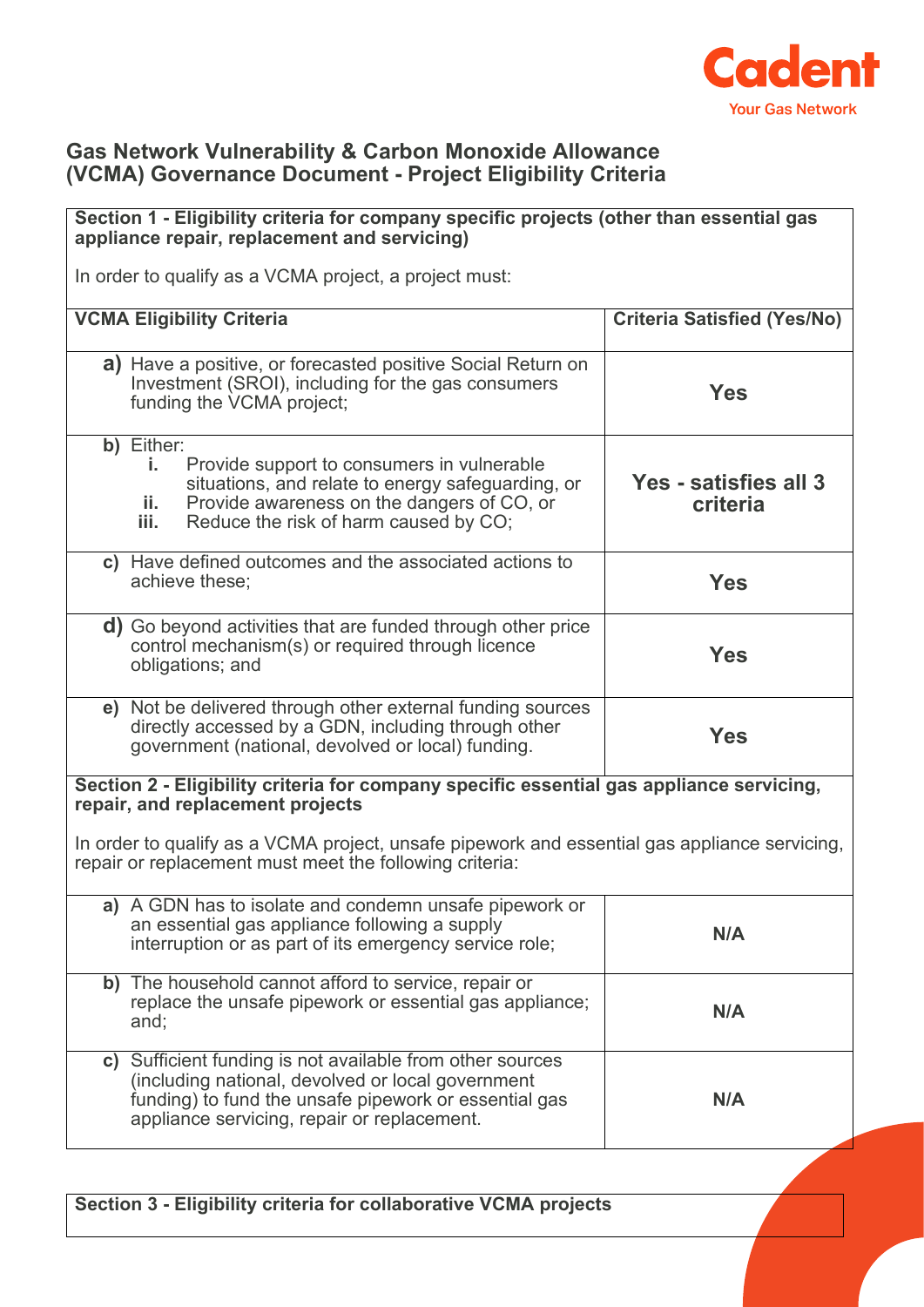

#### **Gas Network Vulnerability & Carbon Monoxide Allowance (VCMA) Governance Document - Project Eligibility Criteria**

## **Section 1 - Eligibility criteria for company specific projects (other than essential gas appliance repair, replacement and servicing)** In order to qualify as a VCMA project, a project must: **VCMA Eligibility Criteria Criteria Satisfied (Yes/No) a)** Have a positive, or forecasted positive Social Return on Investment (SROI), including for the gas consumers funding the VCMA project; **Yes b)** Either: **i.** Provide support to consumers in vulnerable situations, and relate to energy safeguarding, or **ii.** Provide awareness on the dangers of CO, or<br>**iii.** Reduce the risk of harm caused by CO. Reduce the risk of harm caused by CO; **Yes - satisfies all 3 criteria c)** Have defined outcomes and the associated actions to achieve these; **Yes d)** Go beyond activities that are funded through other price control mechanism(s) or required through licence obligations; and **Yes e)** Not be delivered through other external funding sources directly accessed by a GDN, including through other government (national, devolved or local) funding. **Yes Section 2 - Eligibility criteria for company specific essential gas appliance servicing, repair, and replacement projects** In order to qualify as a VCMA project, unsafe pipework and essential gas appliance servicing, repair or replacement must meet the following criteria: **a)** A GDN has to isolate and condemn unsafe pipework or an essential gas appliance following a supply an essential gas appliance ioliowing a supply<br>interruption or as part of its emergency service role; **b)** The household cannot afford to service, repair or replace the unsafe pipework or essential gas appliance; and; **N/A c)** Sufficient funding is not available from other sources (including national, devolved or local government funding) to fund the unsafe pipework or essential gas appliance servicing, repair or replacement. **N/A**

**Section 3 - Eligibility criteria for collaborative VCMA projects**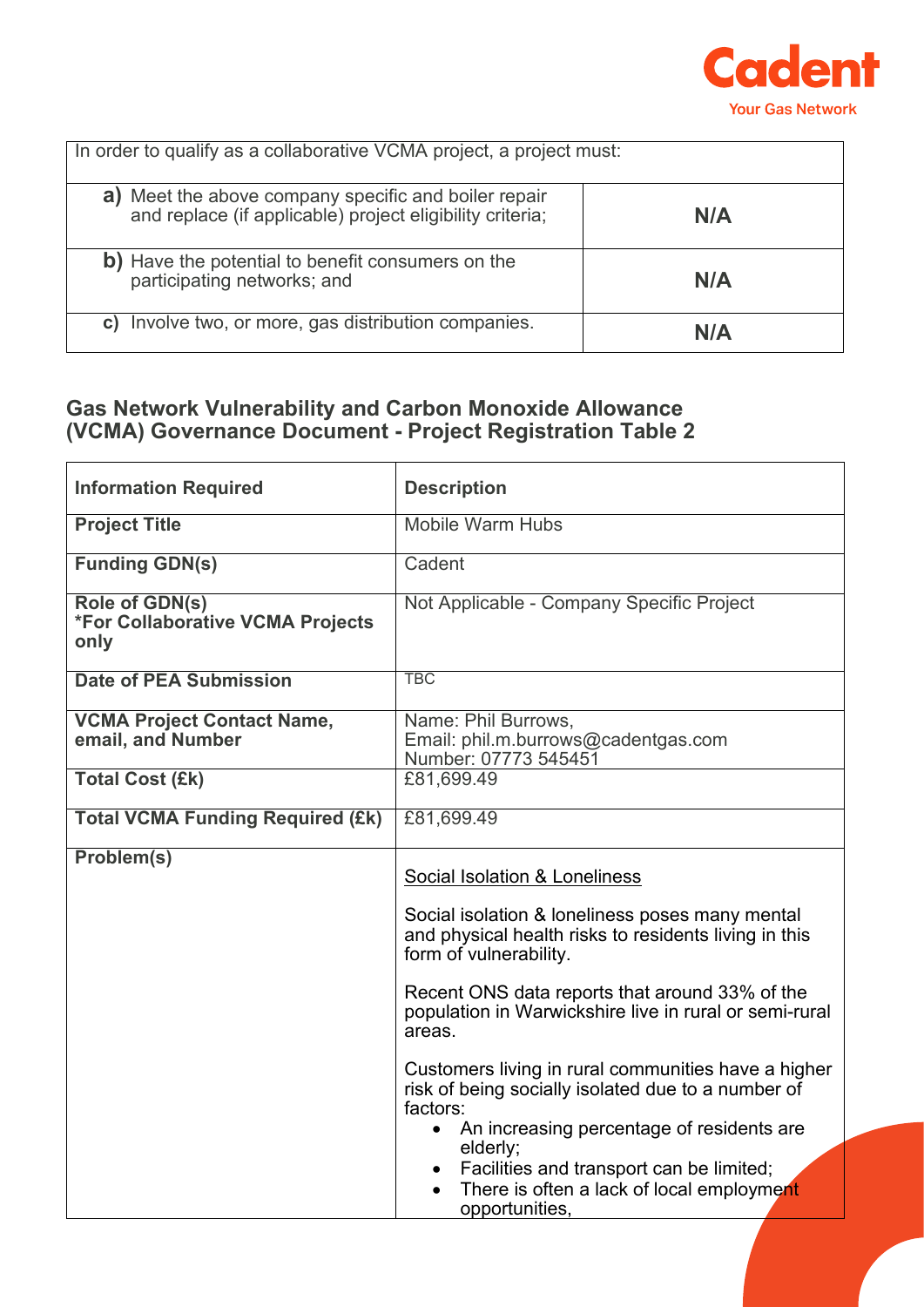

| In order to qualify as a collaborative VCMA project, a project must:                                                 |     |
|----------------------------------------------------------------------------------------------------------------------|-----|
| Meet the above company specific and boiler repair<br>a)<br>and replace (if applicable) project eligibility criteria; | N/A |
| b) Have the potential to benefit consumers on the<br>participating networks; and                                     | N/A |
| Involve two, or more, gas distribution companies.<br>C)                                                              | N/A |

### **Gas Network Vulnerability and Carbon Monoxide Allowance (VCMA) Governance Document - Project Registration Table 2**

| <b>Information Required</b>                                       | <b>Description</b>                                                                                                                                                                                                                                                                                                                                                                                                                                                           |
|-------------------------------------------------------------------|------------------------------------------------------------------------------------------------------------------------------------------------------------------------------------------------------------------------------------------------------------------------------------------------------------------------------------------------------------------------------------------------------------------------------------------------------------------------------|
| <b>Project Title</b>                                              | <b>Mobile Warm Hubs</b>                                                                                                                                                                                                                                                                                                                                                                                                                                                      |
| <b>Funding GDN(s)</b>                                             | Cadent                                                                                                                                                                                                                                                                                                                                                                                                                                                                       |
| Role of GDN(s)<br><b>*For Collaborative VCMA Projects</b><br>only | Not Applicable - Company Specific Project                                                                                                                                                                                                                                                                                                                                                                                                                                    |
| <b>Date of PEA Submission</b>                                     | <b>TBC</b>                                                                                                                                                                                                                                                                                                                                                                                                                                                                   |
| <b>VCMA Project Contact Name,</b><br>email, and Number            | Name: Phil Burrows,<br>Email: phil.m.burrows@cadentgas.com<br>Number: 07773 545451                                                                                                                                                                                                                                                                                                                                                                                           |
| <b>Total Cost (£k)</b>                                            | £81,699.49                                                                                                                                                                                                                                                                                                                                                                                                                                                                   |
| <b>Total VCMA Funding Required (£k)</b>                           | £81,699.49                                                                                                                                                                                                                                                                                                                                                                                                                                                                   |
| Problem(s)                                                        | Social Isolation & Loneliness<br>Social isolation & loneliness poses many mental<br>and physical health risks to residents living in this<br>form of vulnerability.<br>Recent ONS data reports that around 33% of the<br>population in Warwickshire live in rural or semi-rural<br>areas.<br>Customers living in rural communities have a higher<br>risk of being socially isolated due to a number of<br>factors:<br>An increasing percentage of residents are<br>$\bullet$ |
|                                                                   | elderly;<br>Facilities and transport can be limited;<br>$\bullet$<br>There is often a lack of local employment<br>opportunities,                                                                                                                                                                                                                                                                                                                                             |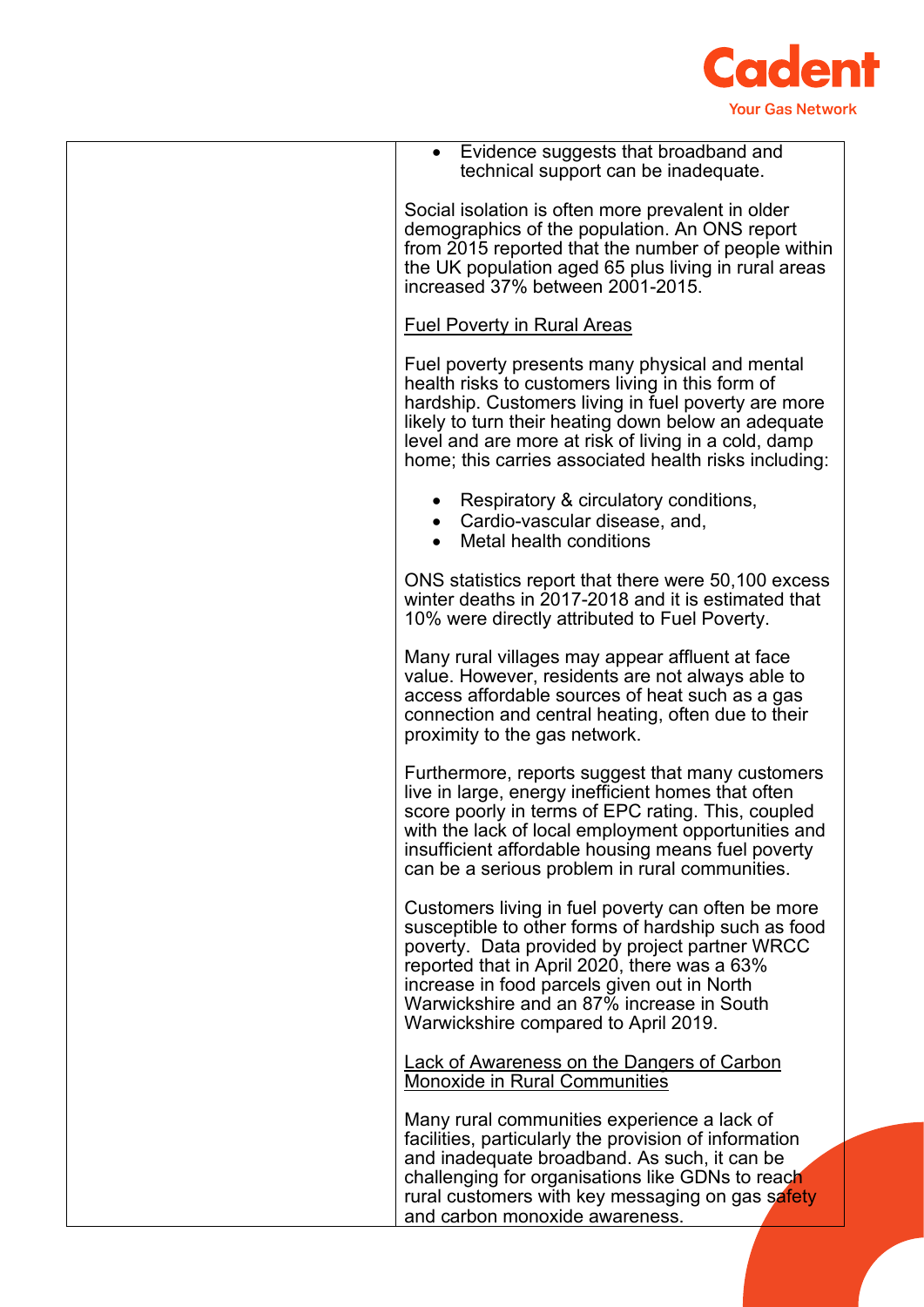

| • Evidence suggests that broadband and<br>technical support can be inadequate.                                                                                                                                                                                                                                                                  |
|-------------------------------------------------------------------------------------------------------------------------------------------------------------------------------------------------------------------------------------------------------------------------------------------------------------------------------------------------|
| Social isolation is often more prevalent in older<br>demographics of the population. An ONS report<br>from 2015 reported that the number of people within<br>the UK population aged 65 plus living in rural areas<br>increased 37% between 2001-2015.                                                                                           |
| <b>Fuel Poverty in Rural Areas</b>                                                                                                                                                                                                                                                                                                              |
| Fuel poverty presents many physical and mental<br>health risks to customers living in this form of<br>hardship. Customers living in fuel poverty are more<br>likely to turn their heating down below an adequate<br>level and are more at risk of living in a cold, damp<br>home; this carries associated health risks including:               |
| Respiratory & circulatory conditions,<br>Cardio-vascular disease, and,<br>Metal health conditions                                                                                                                                                                                                                                               |
| ONS statistics report that there were 50,100 excess<br>winter deaths in 2017-2018 and it is estimated that<br>10% were directly attributed to Fuel Poverty.                                                                                                                                                                                     |
| Many rural villages may appear affluent at face<br>value. However, residents are not always able to<br>access affordable sources of heat such as a gas<br>connection and central heating, often due to their<br>proximity to the gas network.                                                                                                   |
| Furthermore, reports suggest that many customers<br>live in large, energy inefficient homes that often<br>score poorly in terms of EPC rating. This, coupled<br>with the lack of local employment opportunities and<br>insufficient affordable housing means fuel poverty<br>can be a serious problem in rural communities.                     |
| Customers living in fuel poverty can often be more<br>susceptible to other forms of hardship such as food<br>poverty. Data provided by project partner WRCC<br>reported that in April 2020, there was a 63%<br>increase in food parcels given out in North<br>Warwickshire and an 87% increase in South<br>Warwickshire compared to April 2019. |
| <b>Lack of Awareness on the Dangers of Carbon</b><br><b>Monoxide in Rural Communities</b>                                                                                                                                                                                                                                                       |
| Many rural communities experience a lack of<br>facilities, particularly the provision of information<br>and inadequate broadband. As such, it can be<br>challenging for organisations like GDNs to reach<br>rural customers with key messaging on gas safety<br>and carbon monoxide awareness.                                                  |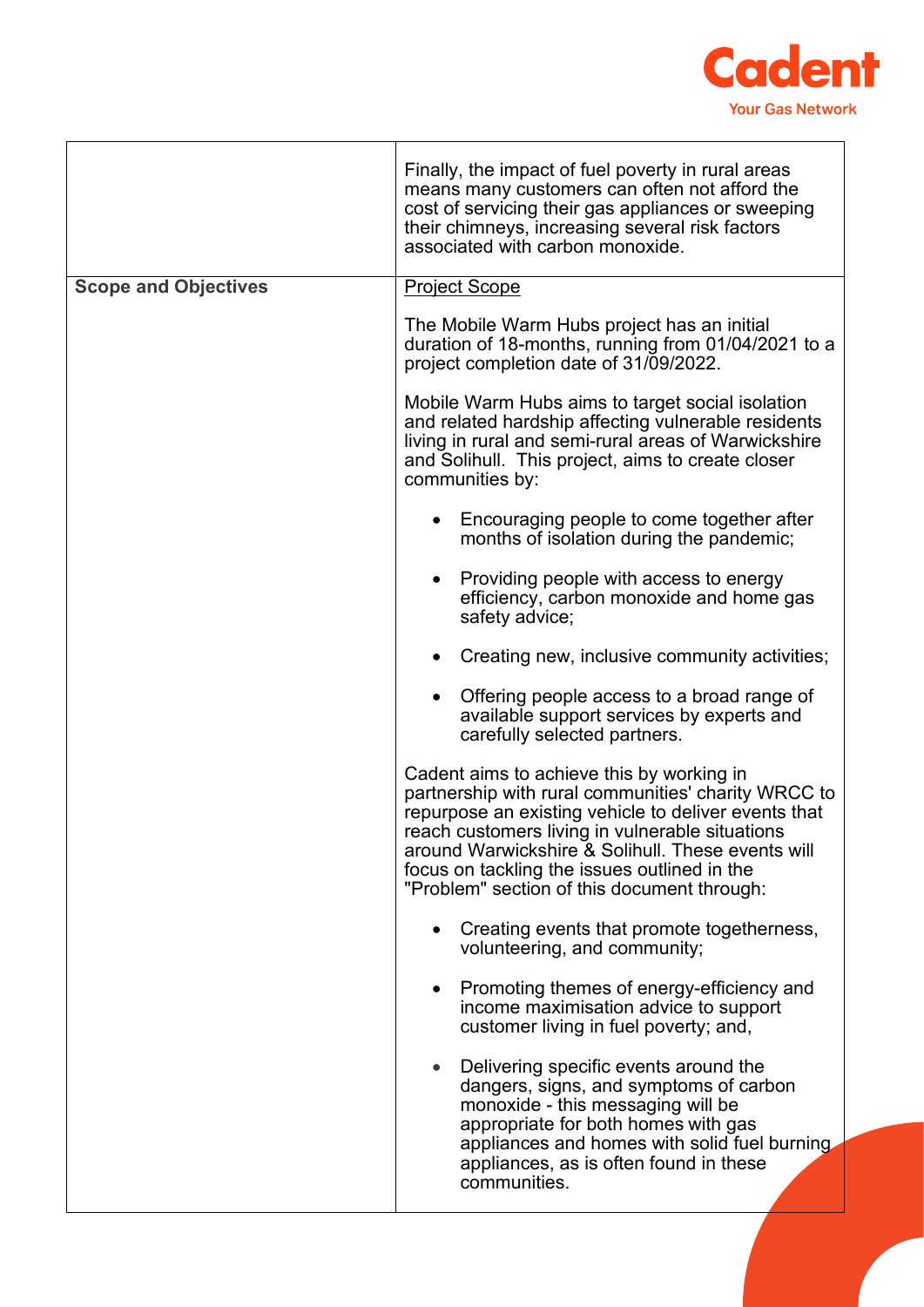

|                             | Finally, the impact of fuel poverty in rural areas<br>means many customers can often not afford the<br>cost of servicing their gas appliances or sweeping<br>their chimneys, increasing several risk factors<br>associated with carbon monoxide.                                                                                                                |
|-----------------------------|-----------------------------------------------------------------------------------------------------------------------------------------------------------------------------------------------------------------------------------------------------------------------------------------------------------------------------------------------------------------|
| <b>Scope and Objectives</b> | <b>Project Scope</b>                                                                                                                                                                                                                                                                                                                                            |
|                             | The Mobile Warm Hubs project has an initial<br>duration of 18-months, running from 01/04/2021 to a<br>project completion date of 31/09/2022.                                                                                                                                                                                                                    |
|                             | Mobile Warm Hubs aims to target social isolation<br>and related hardship affecting vulnerable residents<br>living in rural and semi-rural areas of Warwickshire<br>and Solihull. This project, aims to create closer<br>communities by:                                                                                                                         |
|                             | Encouraging people to come together after<br>months of isolation during the pandemic;                                                                                                                                                                                                                                                                           |
|                             | Providing people with access to energy<br>efficiency, carbon monoxide and home gas<br>safety advice;                                                                                                                                                                                                                                                            |
|                             | Creating new, inclusive community activities;                                                                                                                                                                                                                                                                                                                   |
|                             | Offering people access to a broad range of<br>available support services by experts and<br>carefully selected partners.                                                                                                                                                                                                                                         |
|                             | Cadent aims to achieve this by working in<br>partnership with rural communities' charity WRCC to<br>repurpose an existing vehicle to deliver events that<br>reach customers living in vulnerable situations<br>around Warwickshire & Solihull. These events will<br>focus on tackling the issues outlined in the<br>"Problem" section of this document through: |
|                             | Creating events that promote togetherness,<br>volunteering, and community;                                                                                                                                                                                                                                                                                      |
|                             | Promoting themes of energy-efficiency and<br>income maximisation advice to support<br>customer living in fuel poverty; and,                                                                                                                                                                                                                                     |
|                             | Delivering specific events around the<br>dangers, signs, and symptoms of carbon<br>monoxide - this messaging will be<br>appropriate for both homes with gas<br>appliances and homes with solid fuel burning.<br>appliances, as is often found in these<br>communities.                                                                                          |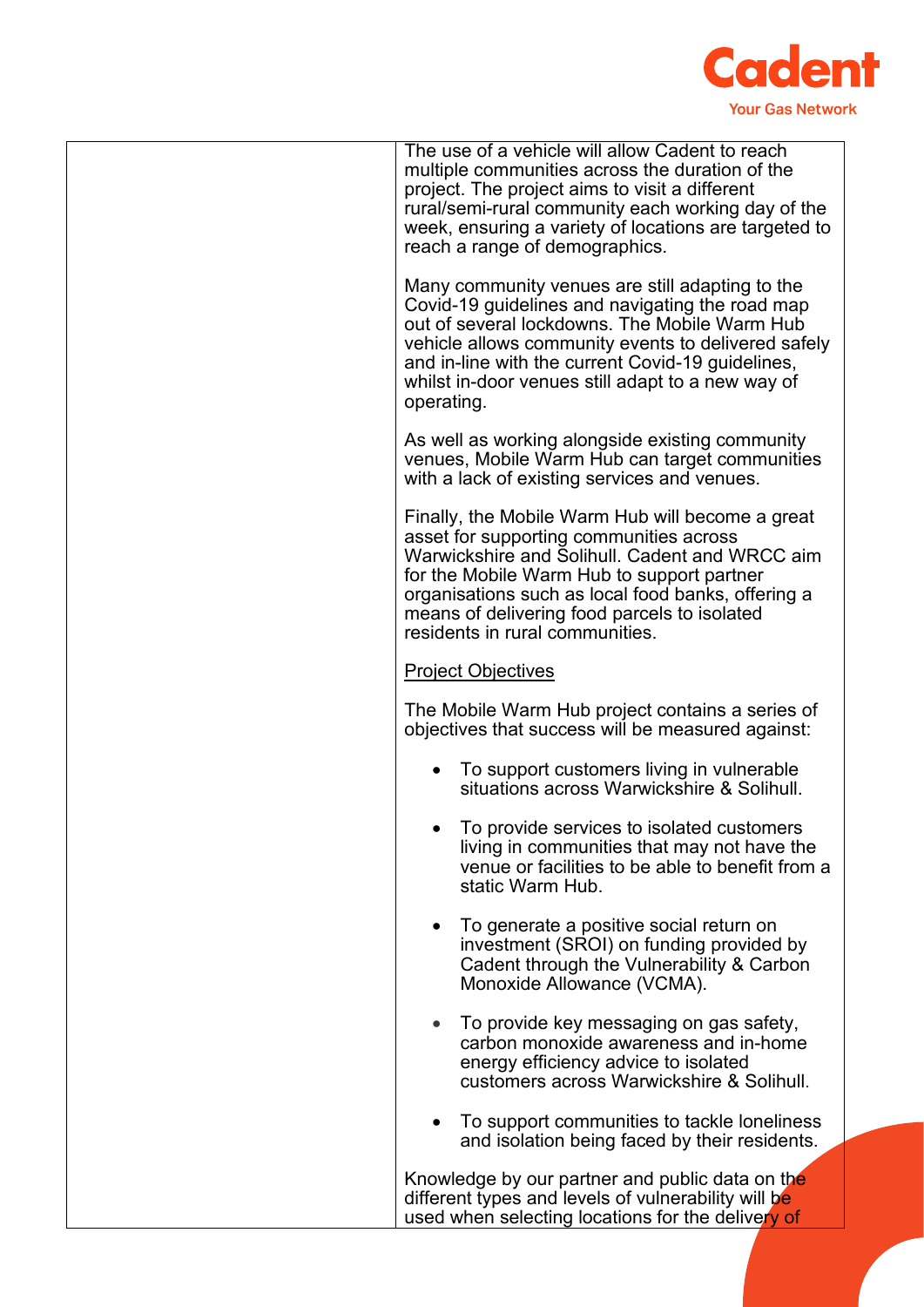

| The use of a vehicle will allow Cadent to reach<br>multiple communities across the duration of the<br>project. The project aims to visit a different<br>rural/semi-rural community each working day of the<br>week, ensuring a variety of locations are targeted to<br>reach a range of demographics.                                |
|--------------------------------------------------------------------------------------------------------------------------------------------------------------------------------------------------------------------------------------------------------------------------------------------------------------------------------------|
| Many community venues are still adapting to the<br>Covid-19 guidelines and navigating the road map<br>out of several lockdowns. The Mobile Warm Hub<br>vehicle allows community events to delivered safely<br>and in-line with the current Covid-19 guidelines,<br>whilst in-door venues still adapt to a new way of<br>operating.   |
| As well as working alongside existing community<br>venues, Mobile Warm Hub can target communities<br>with a lack of existing services and venues.                                                                                                                                                                                    |
| Finally, the Mobile Warm Hub will become a great<br>asset for supporting communities across<br>Warwickshire and Solihull. Cadent and WRCC aim<br>for the Mobile Warm Hub to support partner<br>organisations such as local food banks, offering a<br>means of delivering food parcels to isolated<br>residents in rural communities. |
| <b>Project Objectives</b>                                                                                                                                                                                                                                                                                                            |
| The Mobile Warm Hub project contains a series of<br>objectives that success will be measured against:                                                                                                                                                                                                                                |
| To support customers living in vulnerable<br>situations across Warwickshire & Solihull.                                                                                                                                                                                                                                              |
| To provide services to isolated customers<br>living in communities that may not have the<br>venue or facilities to be able to benefit from a<br>static Warm Hub.                                                                                                                                                                     |
| To generate a positive social return on<br>investment (SROI) on funding provided by<br>Cadent through the Vulnerability & Carbon<br>Monoxide Allowance (VCMA).                                                                                                                                                                       |
| To provide key messaging on gas safety,<br>carbon monoxide awareness and in-home<br>energy efficiency advice to isolated<br>customers across Warwickshire & Solihull.                                                                                                                                                                |
| To support communities to tackle loneliness<br>and isolation being faced by their residents.                                                                                                                                                                                                                                         |
| Knowledge by our partner and public data on the                                                                                                                                                                                                                                                                                      |
| different types and levels of vulnerability will be<br>used when selecting locations for the delivery of                                                                                                                                                                                                                             |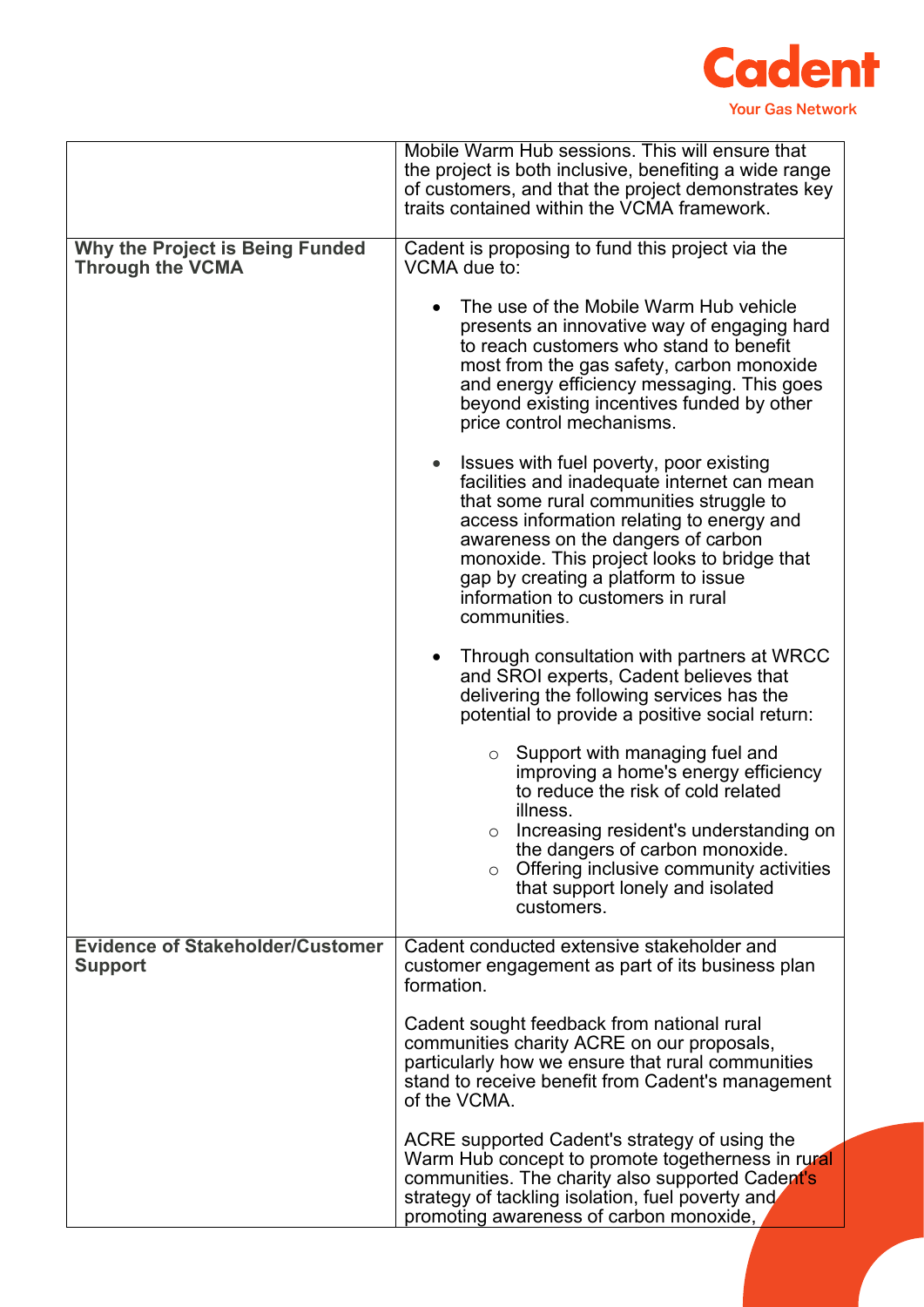

|                                                            | Mobile Warm Hub sessions. This will ensure that<br>the project is both inclusive, benefiting a wide range<br>of customers, and that the project demonstrates key<br>traits contained within the VCMA framework.                                                                                                                                                 |
|------------------------------------------------------------|-----------------------------------------------------------------------------------------------------------------------------------------------------------------------------------------------------------------------------------------------------------------------------------------------------------------------------------------------------------------|
| Why the Project is Being Funded<br><b>Through the VCMA</b> | Cadent is proposing to fund this project via the<br>VCMA due to:                                                                                                                                                                                                                                                                                                |
|                                                            | The use of the Mobile Warm Hub vehicle<br>presents an innovative way of engaging hard<br>to reach customers who stand to benefit<br>most from the gas safety, carbon monoxide<br>and energy efficiency messaging. This goes<br>beyond existing incentives funded by other<br>price control mechanisms.                                                          |
|                                                            | Issues with fuel poverty, poor existing<br>facilities and inadequate internet can mean<br>that some rural communities struggle to<br>access information relating to energy and<br>awareness on the dangers of carbon<br>monoxide. This project looks to bridge that<br>gap by creating a platform to issue<br>information to customers in rural<br>communities. |
|                                                            | Through consultation with partners at WRCC<br>and SROI experts, Cadent believes that<br>delivering the following services has the<br>potential to provide a positive social return:                                                                                                                                                                             |
|                                                            | $\circ$ Support with managing fuel and<br>improving a home's energy efficiency<br>to reduce the risk of cold related<br>illness.                                                                                                                                                                                                                                |
|                                                            | Increasing resident's understanding on<br>the dangers of carbon monoxide.<br>Offering inclusive community activities<br>$\circ$<br>that support lonely and isolated<br>customers.                                                                                                                                                                               |
| <b>Evidence of Stakeholder/Customer</b><br><b>Support</b>  | Cadent conducted extensive stakeholder and<br>customer engagement as part of its business plan<br>formation.                                                                                                                                                                                                                                                    |
|                                                            | Cadent sought feedback from national rural<br>communities charity ACRE on our proposals,<br>particularly how we ensure that rural communities<br>stand to receive benefit from Cadent's management<br>of the VCMA.                                                                                                                                              |
|                                                            | ACRE supported Cadent's strategy of using the<br>Warm Hub concept to promote togetherness in rural<br>communities. The charity also supported Cadent's<br>strategy of tackling isolation, fuel poverty and<br>promoting awareness of carbon monoxide,                                                                                                           |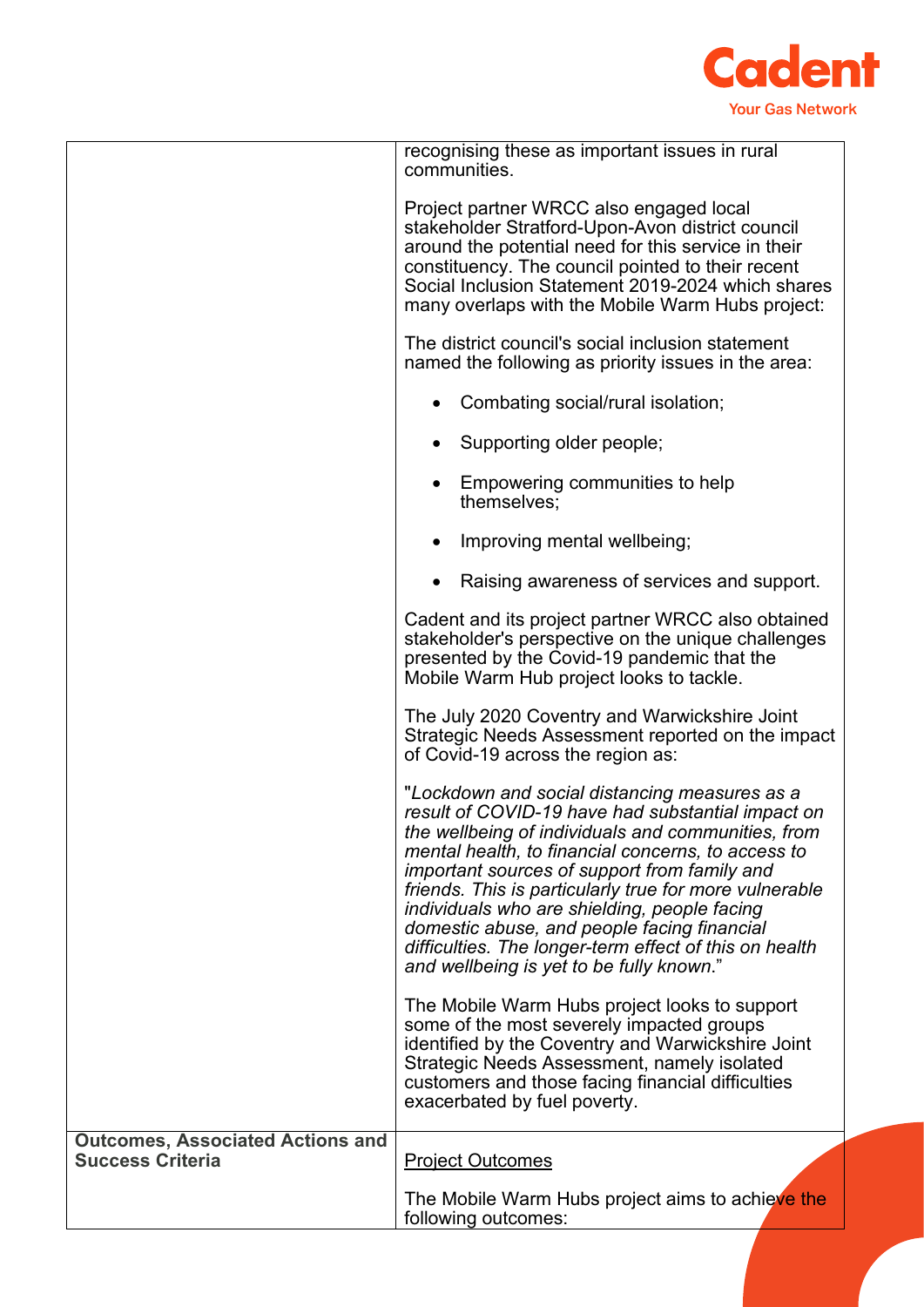

|                                                                    | recognising these as important issues in rural<br>communities.                                                                                                                                                                                                                                                                                                                                                                                                                                                                |
|--------------------------------------------------------------------|-------------------------------------------------------------------------------------------------------------------------------------------------------------------------------------------------------------------------------------------------------------------------------------------------------------------------------------------------------------------------------------------------------------------------------------------------------------------------------------------------------------------------------|
|                                                                    | Project partner WRCC also engaged local<br>stakeholder Stratford-Upon-Avon district council<br>around the potential need for this service in their<br>constituency. The council pointed to their recent<br>Social Inclusion Statement 2019-2024 which shares<br>many overlaps with the Mobile Warm Hubs project:                                                                                                                                                                                                              |
|                                                                    | The district council's social inclusion statement<br>named the following as priority issues in the area:                                                                                                                                                                                                                                                                                                                                                                                                                      |
|                                                                    | • Combating social/rural isolation;                                                                                                                                                                                                                                                                                                                                                                                                                                                                                           |
|                                                                    | Supporting older people;                                                                                                                                                                                                                                                                                                                                                                                                                                                                                                      |
|                                                                    | Empowering communities to help<br>themselves;                                                                                                                                                                                                                                                                                                                                                                                                                                                                                 |
|                                                                    | Improving mental wellbeing;                                                                                                                                                                                                                                                                                                                                                                                                                                                                                                   |
|                                                                    | Raising awareness of services and support.                                                                                                                                                                                                                                                                                                                                                                                                                                                                                    |
|                                                                    | Cadent and its project partner WRCC also obtained<br>stakeholder's perspective on the unique challenges<br>presented by the Covid-19 pandemic that the<br>Mobile Warm Hub project looks to tackle.                                                                                                                                                                                                                                                                                                                            |
|                                                                    | The July 2020 Coventry and Warwickshire Joint<br>Strategic Needs Assessment reported on the impact<br>of Covid-19 across the region as:                                                                                                                                                                                                                                                                                                                                                                                       |
|                                                                    | "Lockdown and social distancing measures as a<br>result of COVID-19 have had substantial impact on<br>the wellbeing of individuals and communities, from<br>mental health, to financial concerns, to access to<br>important sources of support from family and<br>friends. This is particularly true for more vulnerable<br>individuals who are shielding, people facing<br>domestic abuse, and people facing financial<br>difficulties. The longer-term effect of this on health<br>and wellbeing is yet to be fully known." |
|                                                                    | The Mobile Warm Hubs project looks to support<br>some of the most severely impacted groups<br>identified by the Coventry and Warwickshire Joint<br>Strategic Needs Assessment, namely isolated<br>customers and those facing financial difficulties<br>exacerbated by fuel poverty.                                                                                                                                                                                                                                           |
| <b>Outcomes, Associated Actions and</b><br><b>Success Criteria</b> | <b>Project Outcomes</b>                                                                                                                                                                                                                                                                                                                                                                                                                                                                                                       |
|                                                                    | The Mobile Warm Hubs project aims to achieve the<br>following outcomes:                                                                                                                                                                                                                                                                                                                                                                                                                                                       |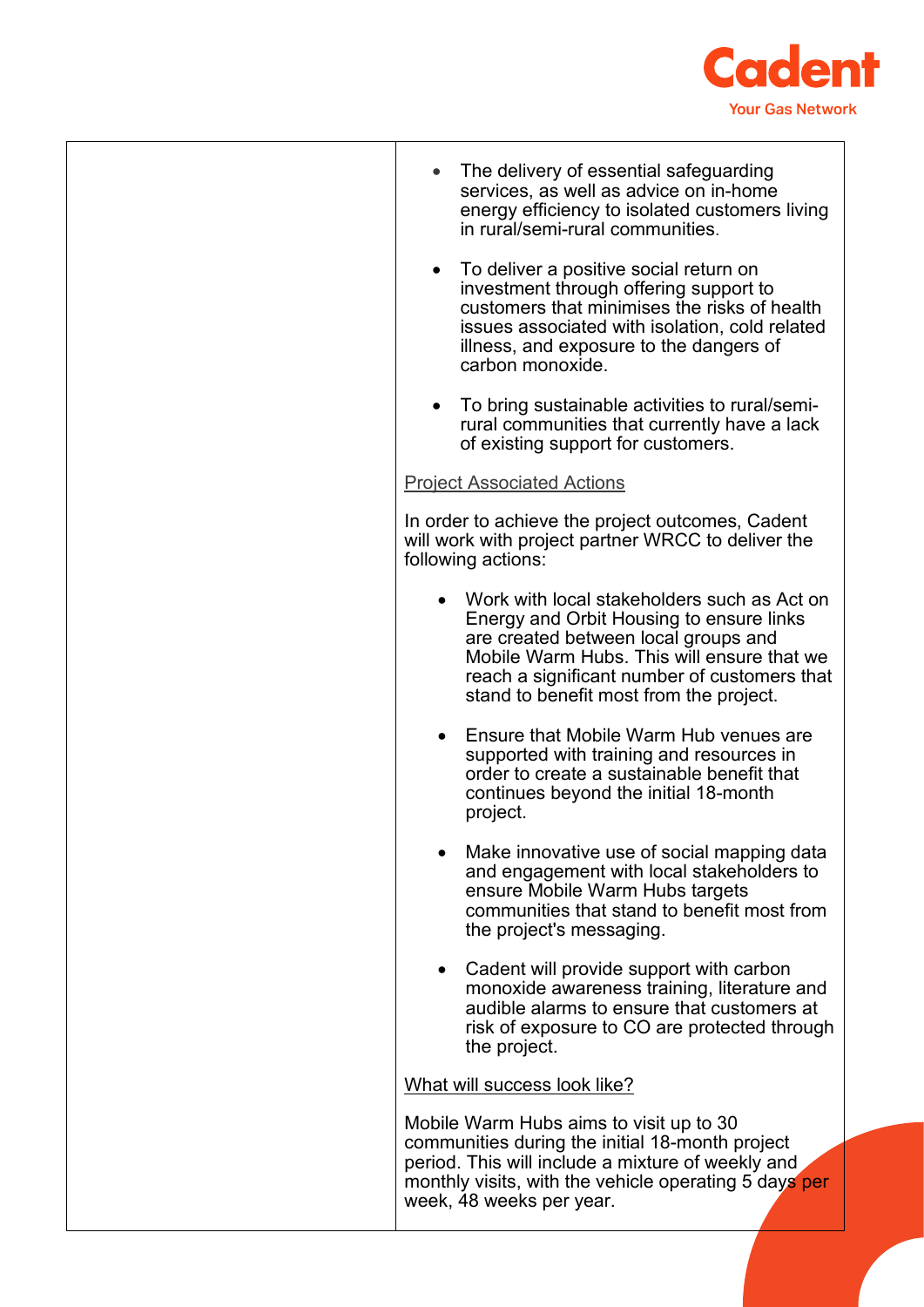

| The delivery of essential safeguarding<br>services, as well as advice on in-home<br>energy efficiency to isolated customers living<br>in rural/semi-rural communities.                                                                                                   |
|--------------------------------------------------------------------------------------------------------------------------------------------------------------------------------------------------------------------------------------------------------------------------|
| To deliver a positive social return on<br>investment through offering support to<br>customers that minimises the risks of health<br>issues associated with isolation, cold related<br>illness, and exposure to the dangers of<br>carbon monoxide.                        |
| To bring sustainable activities to rural/semi-<br>$\bullet$<br>rural communities that currently have a lack<br>of existing support for customers.                                                                                                                        |
| <b>Project Associated Actions</b>                                                                                                                                                                                                                                        |
| In order to achieve the project outcomes, Cadent<br>will work with project partner WRCC to deliver the<br>following actions:                                                                                                                                             |
| Work with local stakeholders such as Act on<br>Energy and Orbit Housing to ensure links<br>are created between local groups and<br>Mobile Warm Hubs. This will ensure that we<br>reach a significant number of customers that<br>stand to benefit most from the project. |
| Ensure that Mobile Warm Hub venues are<br>supported with training and resources in<br>order to create a sustainable benefit that<br>continues beyond the initial 18-month<br>project.                                                                                    |
| Make innovative use of social mapping data<br>and engagement with local stakeholders to<br>ensure Mobile Warm Hubs targets<br>communities that stand to benefit most from<br>the project's messaging.                                                                    |
| Cadent will provide support with carbon<br>monoxide awareness training, literature and<br>audible alarms to ensure that customers at<br>risk of exposure to CO are protected through<br>the project.                                                                     |
| What will success look like?                                                                                                                                                                                                                                             |
| Mobile Warm Hubs aims to visit up to 30<br>communities during the initial 18-month project<br>period. This will include a mixture of weekly and<br>monthly visits, with the vehicle operating 5 days per<br>week, 48 weeks per year.                                     |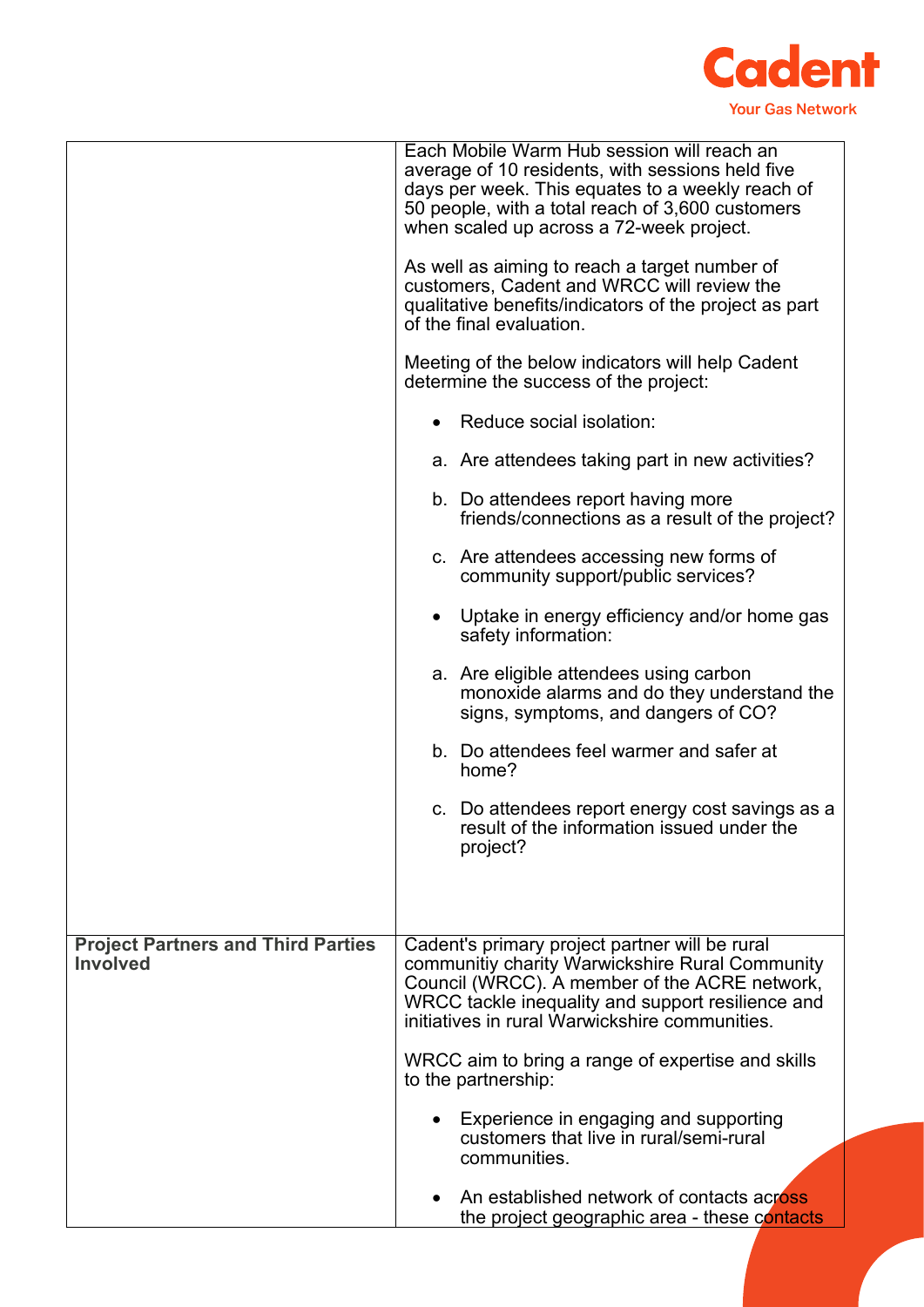

|                                                              | Each Mobile Warm Hub session will reach an                                                                                                                                                                                                                |
|--------------------------------------------------------------|-----------------------------------------------------------------------------------------------------------------------------------------------------------------------------------------------------------------------------------------------------------|
|                                                              | average of 10 residents, with sessions held five<br>days per week. This equates to a weekly reach of<br>50 people, with a total reach of 3,600 customers<br>when scaled up across a 72-week project.                                                      |
|                                                              | As well as aiming to reach a target number of<br>customers, Cadent and WRCC will review the<br>qualitative benefits/indicators of the project as part<br>of the final evaluation.                                                                         |
|                                                              | Meeting of the below indicators will help Cadent<br>determine the success of the project:                                                                                                                                                                 |
|                                                              | Reduce social isolation:                                                                                                                                                                                                                                  |
|                                                              | a. Are attendees taking part in new activities?                                                                                                                                                                                                           |
|                                                              | b. Do attendees report having more<br>friends/connections as a result of the project?                                                                                                                                                                     |
|                                                              | c. Are attendees accessing new forms of<br>community support/public services?                                                                                                                                                                             |
|                                                              | Uptake in energy efficiency and/or home gas<br>safety information:                                                                                                                                                                                        |
|                                                              | a. Are eligible attendees using carbon<br>monoxide alarms and do they understand the<br>signs, symptoms, and dangers of CO?                                                                                                                               |
|                                                              | b. Do attendees feel warmer and safer at<br>home?                                                                                                                                                                                                         |
|                                                              | c. Do attendees report energy cost savings as a<br>result of the information issued under the<br>project?                                                                                                                                                 |
|                                                              |                                                                                                                                                                                                                                                           |
| <b>Project Partners and Third Parties</b><br><b>Involved</b> | Cadent's primary project partner will be rural<br>communitiy charity Warwickshire Rural Community<br>Council (WRCC). A member of the ACRE network,<br>WRCC tackle inequality and support resilience and<br>initiatives in rural Warwickshire communities. |
|                                                              | WRCC aim to bring a range of expertise and skills<br>to the partnership:                                                                                                                                                                                  |
|                                                              | Experience in engaging and supporting<br>customers that live in rural/semi-rural<br>communities.                                                                                                                                                          |
|                                                              | An established network of contacts across<br>the project geographic area - these contacts                                                                                                                                                                 |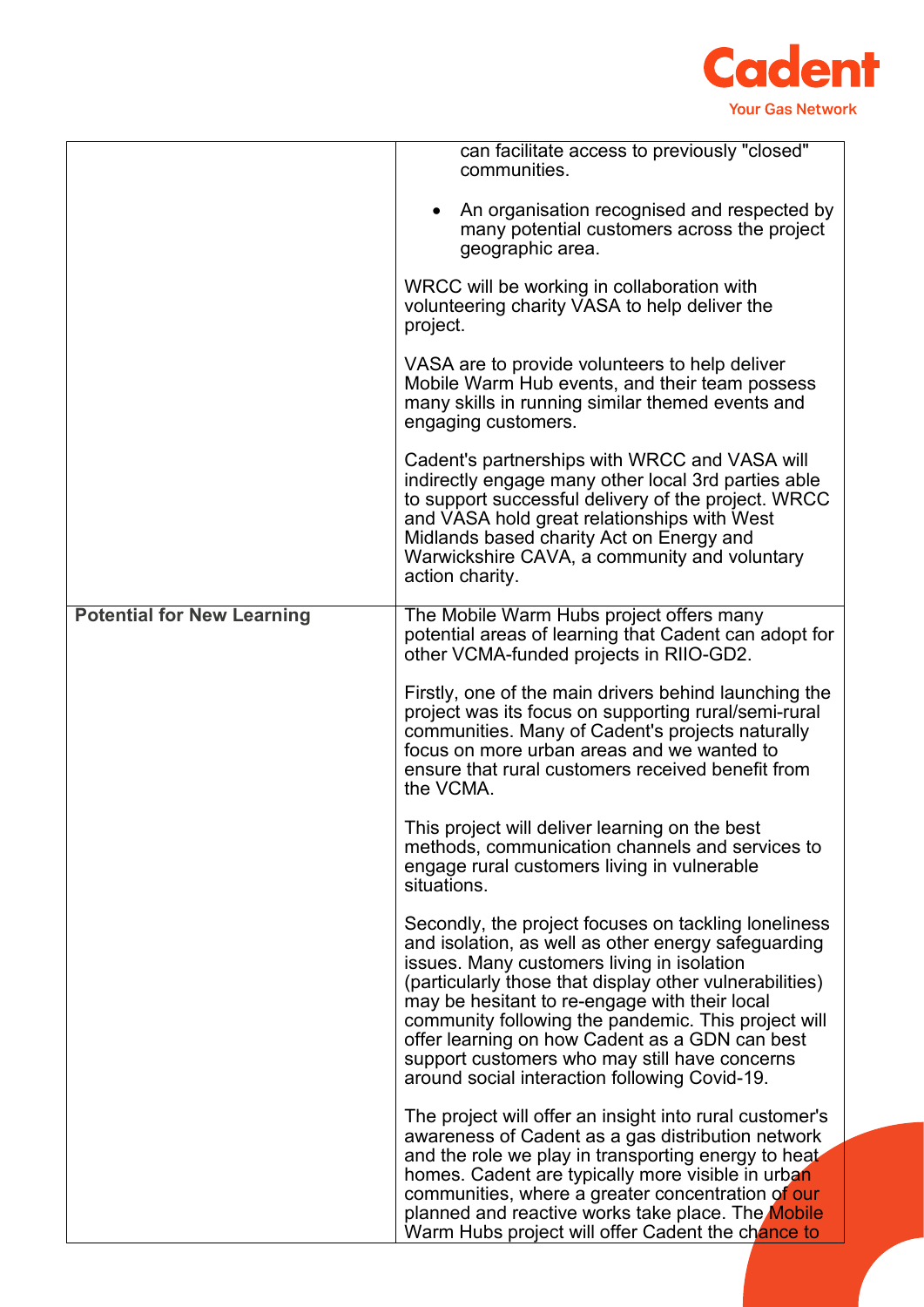

|                                   | can facilitate access to previously "closed"<br>communities.                                                                                                                                                                                                                                                                                                                                                                                                                     |
|-----------------------------------|----------------------------------------------------------------------------------------------------------------------------------------------------------------------------------------------------------------------------------------------------------------------------------------------------------------------------------------------------------------------------------------------------------------------------------------------------------------------------------|
|                                   | An organisation recognised and respected by<br>many potential customers across the project<br>geographic area.                                                                                                                                                                                                                                                                                                                                                                   |
|                                   | WRCC will be working in collaboration with<br>volunteering charity VASA to help deliver the<br>project.                                                                                                                                                                                                                                                                                                                                                                          |
|                                   | VASA are to provide volunteers to help deliver<br>Mobile Warm Hub events, and their team possess<br>many skills in running similar themed events and<br>engaging customers.                                                                                                                                                                                                                                                                                                      |
|                                   | Cadent's partnerships with WRCC and VASA will<br>indirectly engage many other local 3rd parties able<br>to support successful delivery of the project. WRCC<br>and VASA hold great relationships with West<br>Midlands based charity Act on Energy and<br>Warwickshire CAVA, a community and voluntary<br>action charity.                                                                                                                                                        |
| <b>Potential for New Learning</b> | The Mobile Warm Hubs project offers many<br>potential areas of learning that Cadent can adopt for<br>other VCMA-funded projects in RIIO-GD2.                                                                                                                                                                                                                                                                                                                                     |
|                                   | Firstly, one of the main drivers behind launching the<br>project was its focus on supporting rural/semi-rural<br>communities. Many of Cadent's projects naturally<br>focus on more urban areas and we wanted to<br>ensure that rural customers received benefit from<br>the VCMA.                                                                                                                                                                                                |
|                                   | This project will deliver learning on the best<br>methods, communication channels and services to<br>engage rural customers living in vulnerable<br>situations.                                                                                                                                                                                                                                                                                                                  |
|                                   | Secondly, the project focuses on tackling loneliness<br>and isolation, as well as other energy safeguarding<br>issues. Many customers living in isolation<br>(particularly those that display other vulnerabilities)<br>may be hesitant to re-engage with their local<br>community following the pandemic. This project will<br>offer learning on how Cadent as a GDN can best<br>support customers who may still have concerns<br>around social interaction following Covid-19. |
|                                   | The project will offer an insight into rural customer's<br>awareness of Cadent as a gas distribution network                                                                                                                                                                                                                                                                                                                                                                     |
|                                   | and the role we play in transporting energy to heat<br>homes. Cadent are typically more visible in urban<br>communities, where a greater concentration of our<br>planned and reactive works take place. The Mobile<br>Warm Hubs project will offer Cadent the chance to                                                                                                                                                                                                          |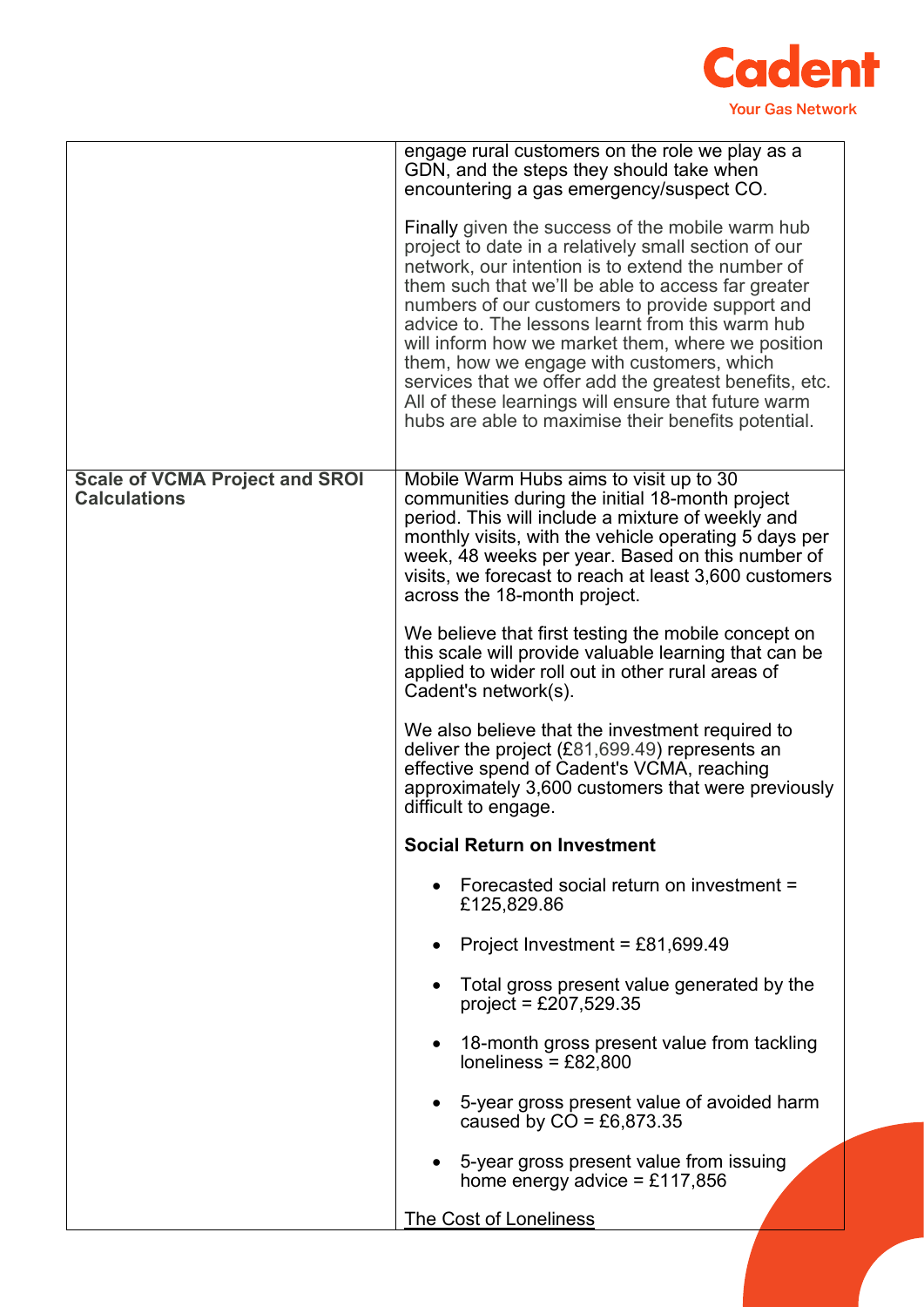

|                                                              | engage rural customers on the role we play as a<br>GDN, and the steps they should take when<br>encountering a gas emergency/suspect CO.                                                                                                                                                                                                                                                                                                                                                                                                                                                              |
|--------------------------------------------------------------|------------------------------------------------------------------------------------------------------------------------------------------------------------------------------------------------------------------------------------------------------------------------------------------------------------------------------------------------------------------------------------------------------------------------------------------------------------------------------------------------------------------------------------------------------------------------------------------------------|
|                                                              | Finally given the success of the mobile warm hub<br>project to date in a relatively small section of our<br>network, our intention is to extend the number of<br>them such that we'll be able to access far greater<br>numbers of our customers to provide support and<br>advice to. The lessons learnt from this warm hub<br>will inform how we market them, where we position<br>them, how we engage with customers, which<br>services that we offer add the greatest benefits, etc.<br>All of these learnings will ensure that future warm<br>hubs are able to maximise their benefits potential. |
| <b>Scale of VCMA Project and SROI</b><br><b>Calculations</b> | Mobile Warm Hubs aims to visit up to 30<br>communities during the initial 18-month project<br>period. This will include a mixture of weekly and<br>monthly visits, with the vehicle operating 5 days per<br>week, 48 weeks per year. Based on this number of<br>visits, we forecast to reach at least 3,600 customers<br>across the 18-month project.                                                                                                                                                                                                                                                |
|                                                              | We believe that first testing the mobile concept on<br>this scale will provide valuable learning that can be<br>applied to wider roll out in other rural areas of<br>Cadent's network(s).                                                                                                                                                                                                                                                                                                                                                                                                            |
|                                                              | We also believe that the investment required to<br>deliver the project (£81,699.49) represents an<br>effective spend of Cadent's VCMA, reaching<br>approximately 3,600 customers that were previously<br>difficult to engage.                                                                                                                                                                                                                                                                                                                                                                        |
|                                                              | <b>Social Return on Investment</b>                                                                                                                                                                                                                                                                                                                                                                                                                                                                                                                                                                   |
|                                                              | Forecasted social return on investment =<br>£125,829.86                                                                                                                                                                                                                                                                                                                                                                                                                                                                                                                                              |
|                                                              | Project Investment = £81,699.49                                                                                                                                                                                                                                                                                                                                                                                                                                                                                                                                                                      |
|                                                              | Total gross present value generated by the<br>$project = £207,529.35$                                                                                                                                                                                                                                                                                                                                                                                                                                                                                                                                |
|                                                              | 18-month gross present value from tackling<br>loneliness = $£82,800$                                                                                                                                                                                                                                                                                                                                                                                                                                                                                                                                 |
|                                                              | 5-year gross present value of avoided harm<br>caused by $CO = \text{\pounds}6,873.35$                                                                                                                                                                                                                                                                                                                                                                                                                                                                                                                |
|                                                              | 5-year gross present value from issuing<br>home energy advice = £117,856                                                                                                                                                                                                                                                                                                                                                                                                                                                                                                                             |
|                                                              | <b>The Cost of Loneliness</b>                                                                                                                                                                                                                                                                                                                                                                                                                                                                                                                                                                        |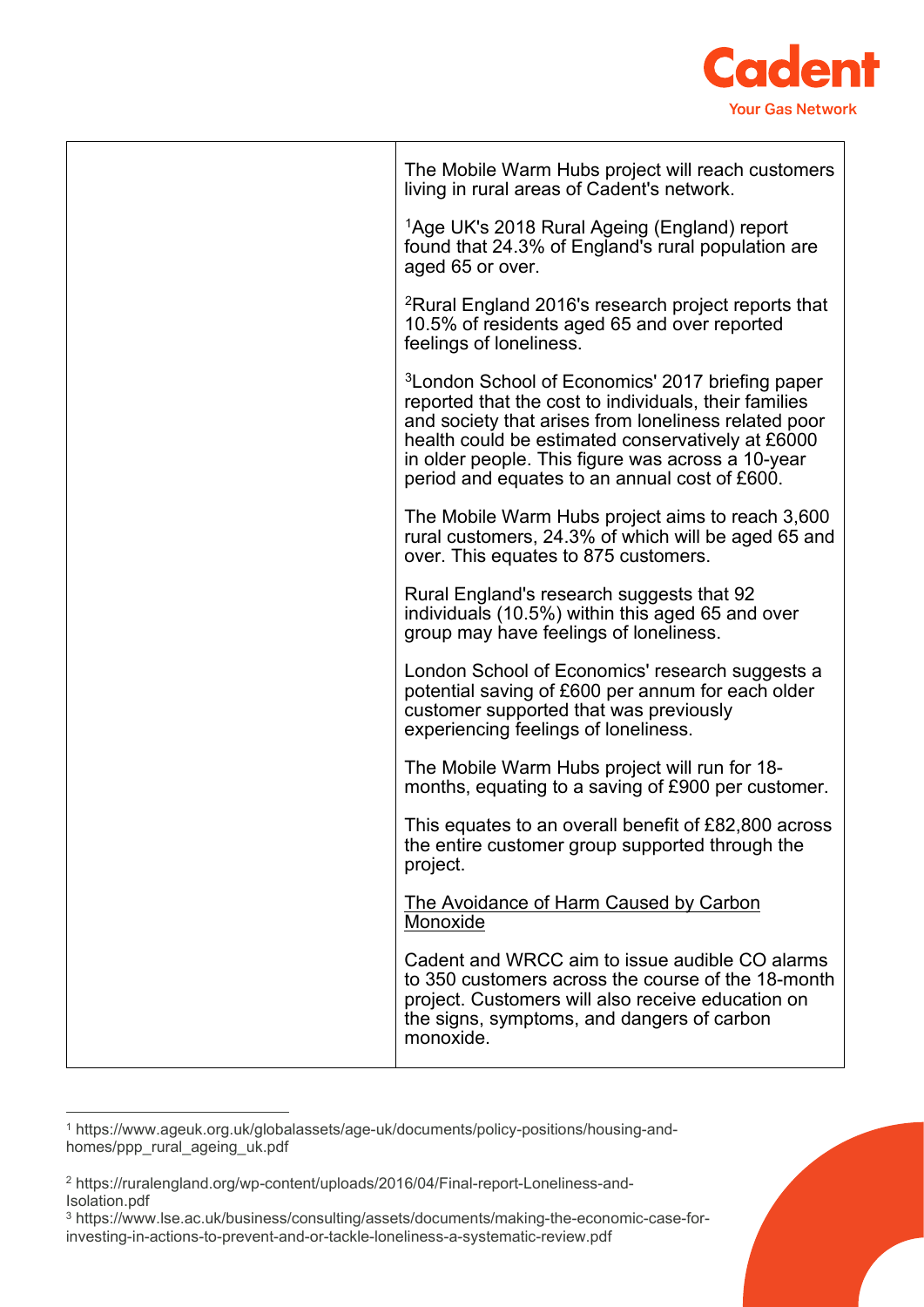

| The Mobile Warm Hubs project will reach customers                                                                                                                                                                                                                                                                                        |
|------------------------------------------------------------------------------------------------------------------------------------------------------------------------------------------------------------------------------------------------------------------------------------------------------------------------------------------|
| living in rural areas of Cadent's network.                                                                                                                                                                                                                                                                                               |
| <sup>1</sup> Age UK's 2018 Rural Ageing (England) report<br>found that 24.3% of England's rural population are<br>aged 65 or over.                                                                                                                                                                                                       |
| <sup>2</sup> Rural England 2016's research project reports that<br>10.5% of residents aged 65 and over reported<br>feelings of loneliness.                                                                                                                                                                                               |
| <sup>3</sup> London School of Economics' 2017 briefing paper<br>reported that the cost to individuals, their families<br>and society that arises from loneliness related poor<br>health could be estimated conservatively at £6000<br>in older people. This figure was across a 10-year<br>period and equates to an annual cost of £600. |
| The Mobile Warm Hubs project aims to reach 3,600<br>rural customers, 24.3% of which will be aged 65 and<br>over. This equates to 875 customers.                                                                                                                                                                                          |
| Rural England's research suggests that 92<br>individuals (10.5%) within this aged 65 and over<br>group may have feelings of loneliness.                                                                                                                                                                                                  |
| London School of Economics' research suggests a<br>potential saving of £600 per annum for each older<br>customer supported that was previously<br>experiencing feelings of loneliness.                                                                                                                                                   |
| The Mobile Warm Hubs project will run for 18-<br>months, equating to a saving of £900 per customer.                                                                                                                                                                                                                                      |
| This equates to an overall benefit of £82,800 across<br>the entire customer group supported through the<br>project.                                                                                                                                                                                                                      |
| The Avoidance of Harm Caused by Carbon<br>Monoxide                                                                                                                                                                                                                                                                                       |
| Cadent and WRCC aim to issue audible CO alarms<br>to 350 customers across the course of the 18-month<br>project. Customers will also receive education on<br>the signs, symptoms, and dangers of carbon<br>monoxide.                                                                                                                     |

<span id="page-12-0"></span><sup>1</sup> https://www.ageuk.org.uk/globalassets/age-uk/documents/policy-positions/housing-andhomes/ppp\_rural\_ageing\_uk.pdf

<span id="page-12-1"></span><sup>2</sup> https://ruralengland.org/wp-content/uploads/2016/04/Final-report-Loneliness-and-Isolation.pdf

<span id="page-12-2"></span><sup>3</sup> https://www.lse.ac.uk/business/consulting/assets/documents/making-the-economic-case-forinvesting-in-actions-to-prevent-and-or-tackle-loneliness-a-systematic-review.pdf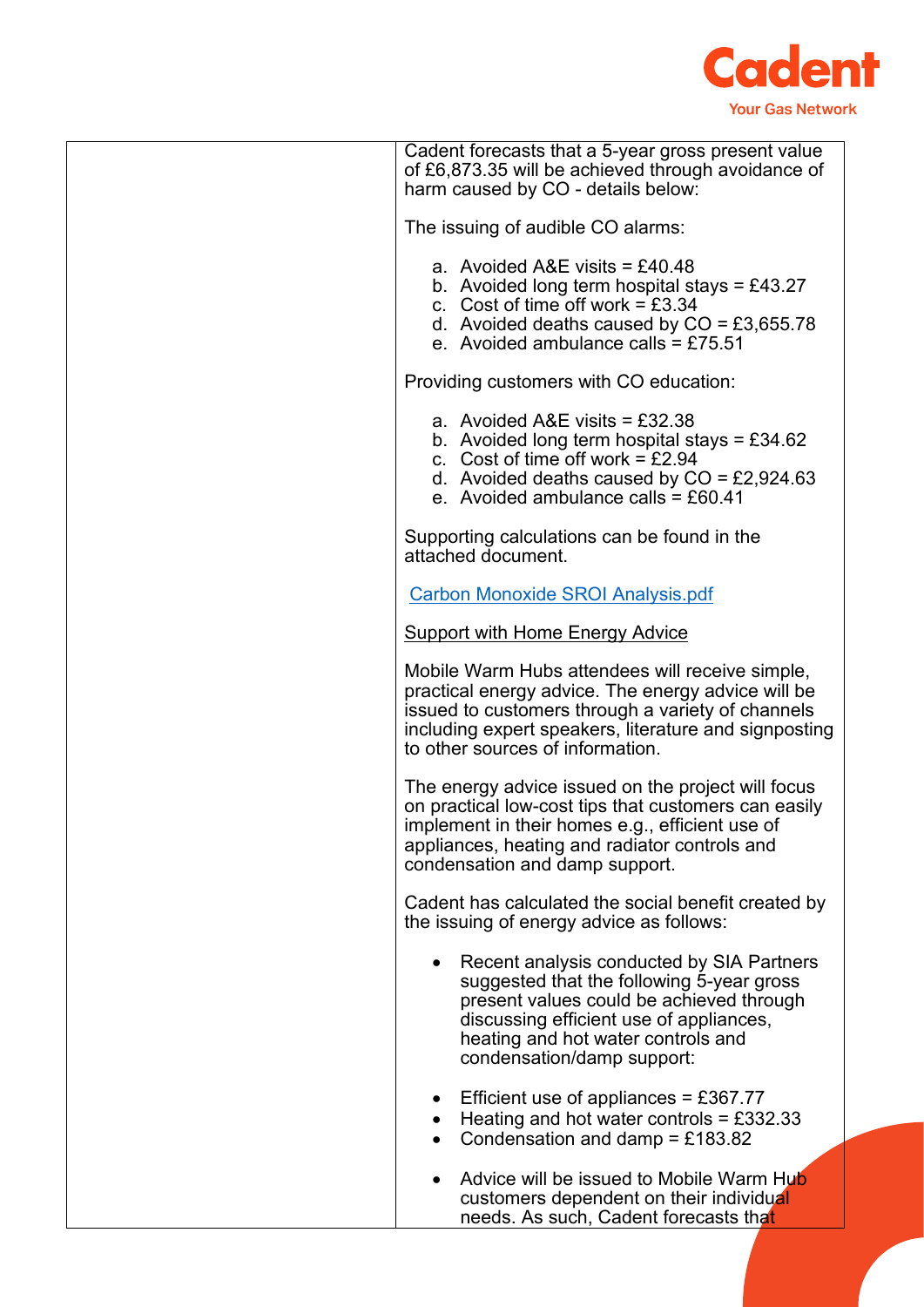

|  | Cadent forecasts that a 5-year gross present value<br>of £6,873.35 will be achieved through avoidance of<br>harm caused by CO - details below:                                                                                                          |  |
|--|---------------------------------------------------------------------------------------------------------------------------------------------------------------------------------------------------------------------------------------------------------|--|
|  | The issuing of audible CO alarms:                                                                                                                                                                                                                       |  |
|  | a. Avoided A&E visits = £40.48<br>b. Avoided long term hospital stays = £43.27<br>c. Cost of time off work = $£3.34$<br>d. Avoided deaths caused by $CO = \text{\textsterling}3,655.78$<br>e. Avoided ambulance calls = $£75.51$                        |  |
|  | Providing customers with CO education:                                                                                                                                                                                                                  |  |
|  | a. Avoided $A&E$ visits = £32.38<br>b. Avoided long term hospital stays = £34.62<br>c. Cost of time off work = $£2.94$<br>d. Avoided deaths caused by $CO = \text{\textsterling}2,924.63$<br>e. Avoided ambulance calls = $£60.41$                      |  |
|  | Supporting calculations can be found in the<br>attached document.                                                                                                                                                                                       |  |
|  | <b>Carbon Monoxide SROI Analysis.pdf</b>                                                                                                                                                                                                                |  |
|  | <b>Support with Home Energy Advice</b>                                                                                                                                                                                                                  |  |
|  | Mobile Warm Hubs attendees will receive simple,<br>practical energy advice. The energy advice will be<br>issued to customers through a variety of channels<br>including expert speakers, literature and signposting<br>to other sources of information. |  |
|  | The energy advice issued on the project will focus<br>on practical low-cost tips that customers can easily<br>implement in their homes e.g., efficient use of<br>appliances, heating and radiator controls and<br>condensation and damp support.        |  |
|  | Cadent has calculated the social benefit created by<br>the issuing of energy advice as follows:                                                                                                                                                         |  |
|  | Recent analysis conducted by SIA Partners<br>suggested that the following 5-year gross<br>present values could be achieved through<br>discussing efficient use of appliances,<br>heating and hot water controls and<br>condensation/damp support:       |  |
|  | Efficient use of appliances = £367.77<br>Heating and hot water controls = $£332.33$<br>Condensation and damp = £183.82<br>$\bullet$                                                                                                                     |  |
|  | Advice will be issued to Mobile Warm Hub<br>customers dependent on their individual<br>needs. As such, Cadent forecasts that                                                                                                                            |  |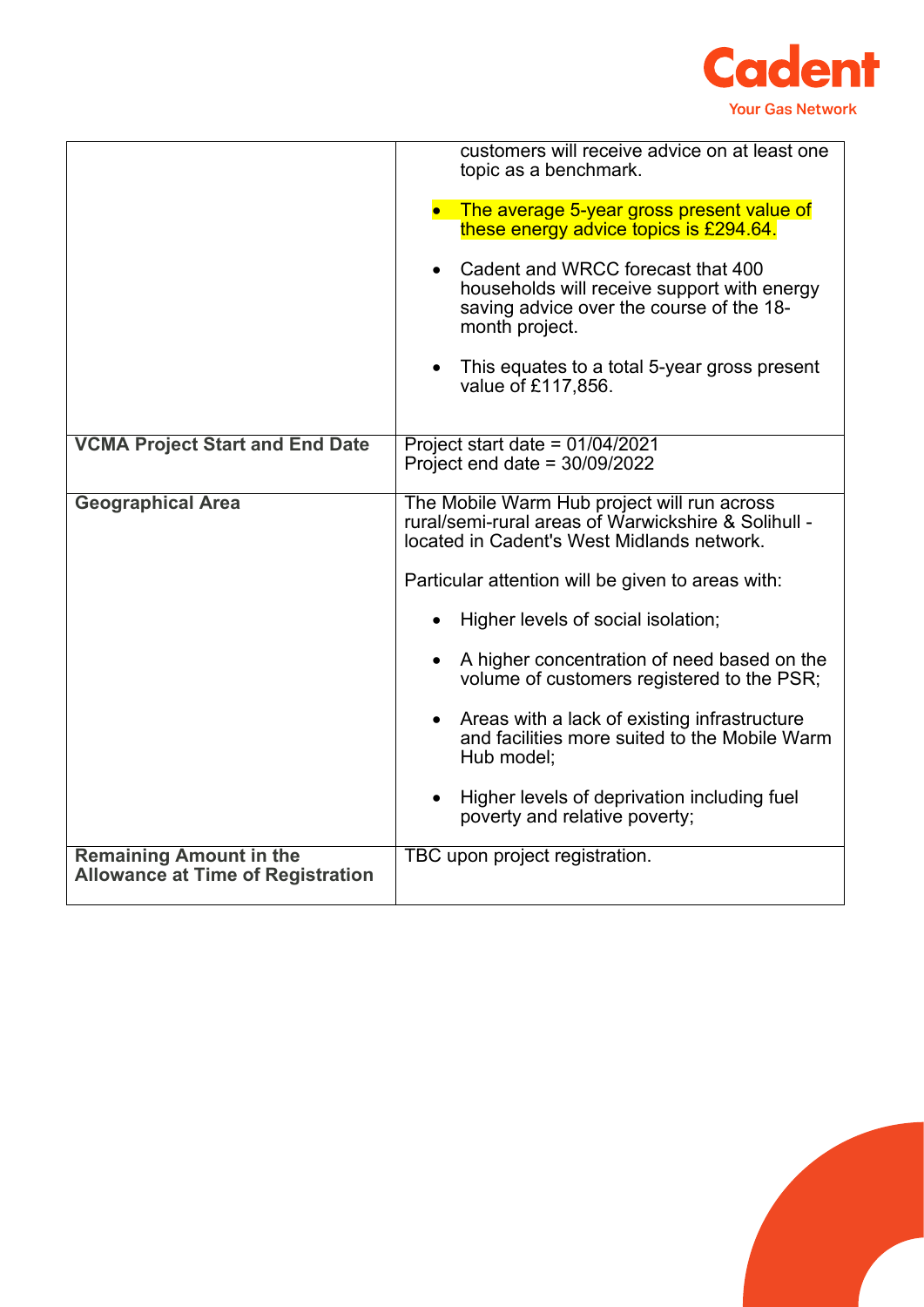

|                                                                            | customers will receive advice on at least one<br>topic as a benchmark.<br>• The average 5-year gross present value of<br>these energy advice topics is £294.64.<br>Cadent and WRCC forecast that 400<br>households will receive support with energy<br>saving advice over the course of the 18-<br>month project.<br>This equates to a total 5-year gross present<br>$\bullet$<br>value of £117,856.                                                                                                                                                              |  |
|----------------------------------------------------------------------------|-------------------------------------------------------------------------------------------------------------------------------------------------------------------------------------------------------------------------------------------------------------------------------------------------------------------------------------------------------------------------------------------------------------------------------------------------------------------------------------------------------------------------------------------------------------------|--|
| <b>VCMA Project Start and End Date</b>                                     | Project start date = $01/04/2021$<br>Project end date = $30/09/2022$                                                                                                                                                                                                                                                                                                                                                                                                                                                                                              |  |
| <b>Geographical Area</b>                                                   | The Mobile Warm Hub project will run across<br>rural/semi-rural areas of Warwickshire & Solihull -<br>located in Cadent's West Midlands network.<br>Particular attention will be given to areas with:<br>Higher levels of social isolation;<br>A higher concentration of need based on the<br>volume of customers registered to the PSR;<br>Areas with a lack of existing infrastructure<br>$\bullet$<br>and facilities more suited to the Mobile Warm<br>Hub model;<br>Higher levels of deprivation including fuel<br>$\bullet$<br>poverty and relative poverty; |  |
| <b>Remaining Amount in the</b><br><b>Allowance at Time of Registration</b> | TBC upon project registration.                                                                                                                                                                                                                                                                                                                                                                                                                                                                                                                                    |  |

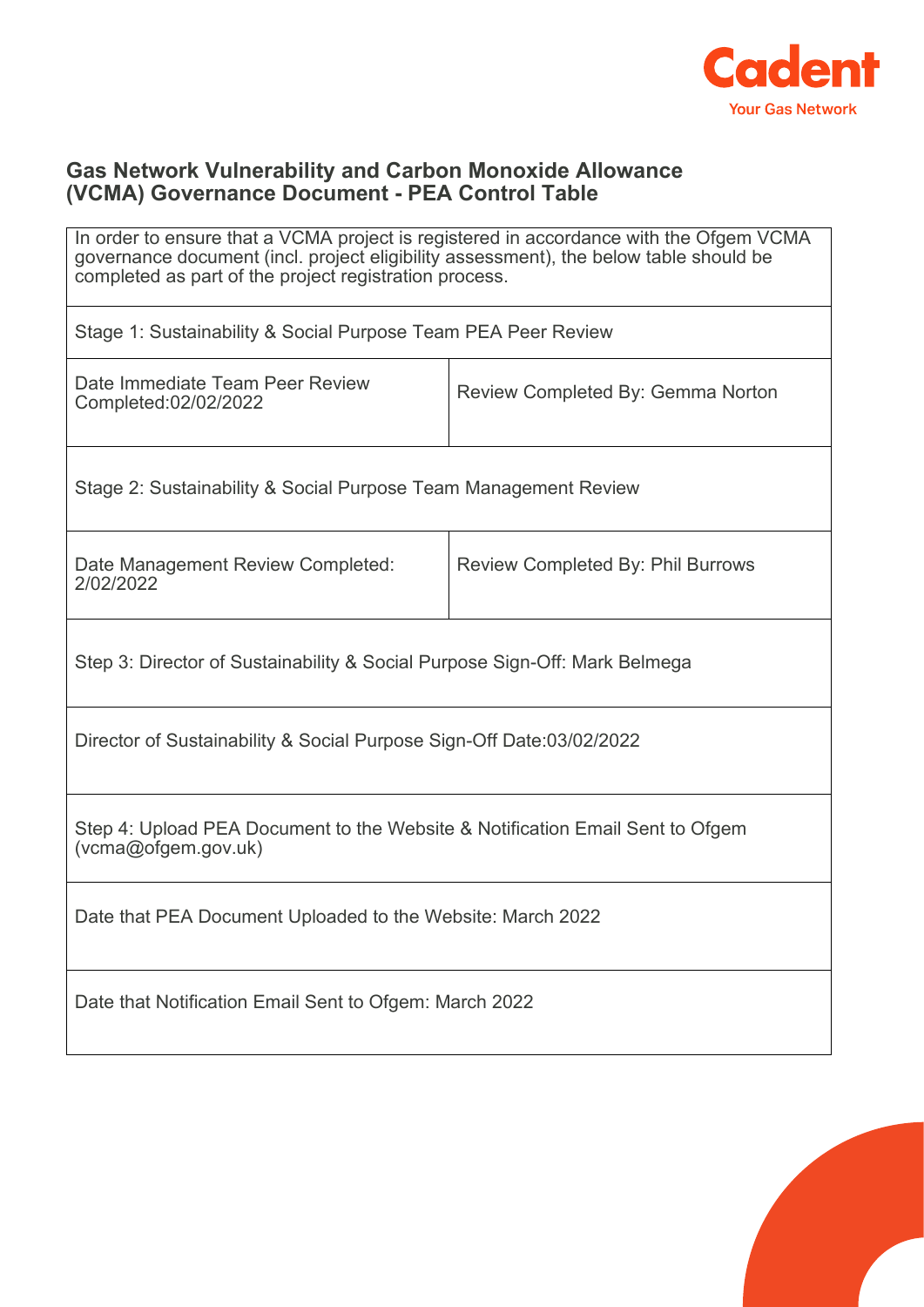

## **Gas Network Vulnerability and Carbon Monoxide Allowance (VCMA) Governance Document - PEA Control Table**

| In order to ensure that a VCMA project is registered in accordance with the Ofgem VCMA<br>governance document (incl. project eligibility assessment), the below table should be<br>completed as part of the project registration process. |                                          |  |  |  |
|-------------------------------------------------------------------------------------------------------------------------------------------------------------------------------------------------------------------------------------------|------------------------------------------|--|--|--|
| Stage 1: Sustainability & Social Purpose Team PEA Peer Review                                                                                                                                                                             |                                          |  |  |  |
| Date Immediate Team Peer Review<br>Completed:02/02/2022                                                                                                                                                                                   | Review Completed By: Gemma Norton        |  |  |  |
| Stage 2: Sustainability & Social Purpose Team Management Review                                                                                                                                                                           |                                          |  |  |  |
| Date Management Review Completed:<br>2/02/2022                                                                                                                                                                                            | <b>Review Completed By: Phil Burrows</b> |  |  |  |
| Step 3: Director of Sustainability & Social Purpose Sign-Off: Mark Belmega                                                                                                                                                                |                                          |  |  |  |
| Director of Sustainability & Social Purpose Sign-Off Date:03/02/2022                                                                                                                                                                      |                                          |  |  |  |
| Step 4: Upload PEA Document to the Website & Notification Email Sent to Ofgem<br>(vcma@ofgem.gov.uk)                                                                                                                                      |                                          |  |  |  |
| Date that PEA Document Uploaded to the Website: March 2022                                                                                                                                                                                |                                          |  |  |  |
| Date that Notification Email Sent to Ofgem: March 2022                                                                                                                                                                                    |                                          |  |  |  |